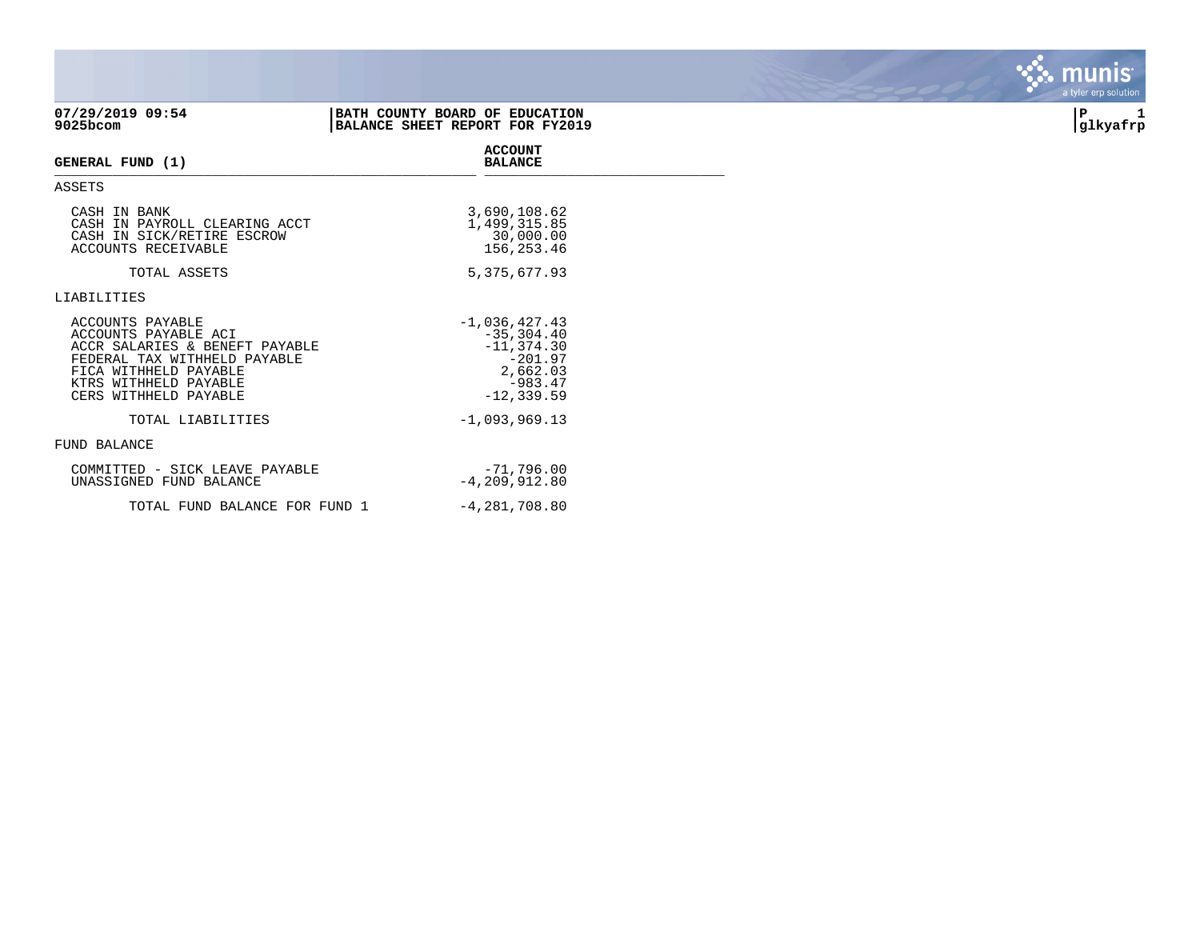| $07/29/2019$ 09:54<br>9025bcom                                                                                                                                                        | BATH COUNTY BOARD OF EDUCATION<br>BALANCE SHEET REPORT FOR FY2019                                      | P<br>glkyafrp |
|---------------------------------------------------------------------------------------------------------------------------------------------------------------------------------------|--------------------------------------------------------------------------------------------------------|---------------|
| GENERAL FUND (1)                                                                                                                                                                      | <b>ACCOUNT</b><br><b>BALANCE</b>                                                                       |               |
| ASSETS                                                                                                                                                                                |                                                                                                        |               |
| CASH IN BANK<br>CASH IN PAYROLL CLEARING ACCT<br>CASH IN SICK/RETIRE ESCROW<br><b>ACCOUNTS RECEIVABLE</b>                                                                             | 3,690,108.62<br>1,499,315.85<br>30,000.00<br>156,253.46                                                |               |
| TOTAL ASSETS                                                                                                                                                                          | 5, 375, 677.93                                                                                         |               |
| LIABILITIES                                                                                                                                                                           |                                                                                                        |               |
| ACCOUNTS PAYABLE<br>ACCOUNTS PAYABLE ACI<br>ACCR SALARIES & BENEFT PAYABLE<br>FEDERAL TAX WITHHELD PAYABLE<br>FICA WITHHELD PAYABLE<br>KTRS WITHHELD PAYABLE<br>CERS WITHHELD PAYABLE | $-1,036,427.43$<br>$-35, 304.40$<br>$-11, 374.30$<br>$-201.97$<br>2,662.03<br>-983.47<br>$-12, 339.59$ |               |
| TOTAL LIABILITIES                                                                                                                                                                     | $-1,093,969.13$                                                                                        |               |
| FUND BALANCE                                                                                                                                                                          |                                                                                                        |               |
| COMMITTED - SICK LEAVE PAYABLE<br>UNASSIGNED FUND BALANCE                                                                                                                             | $-71,796,00$<br>$-4, 209, 912.80$                                                                      |               |
| TOTAL FUND BALANCE FOR FUND 1                                                                                                                                                         | $-4,281,708.80$                                                                                        |               |

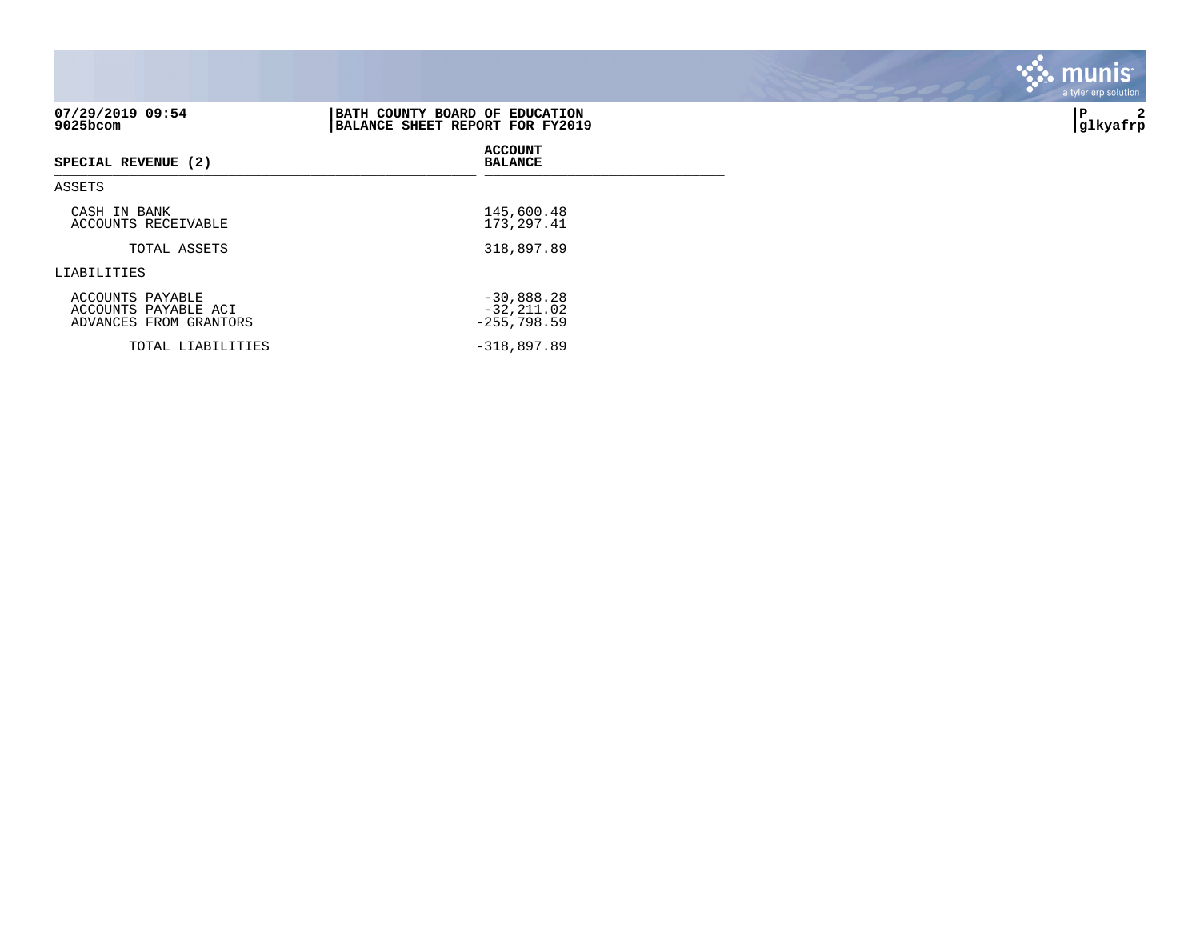| 07/29/2019 09:54<br>9025bcom                                       | BATH COUNTY BOARD OF EDUCATION<br>BALANCE SHEET REPORT FOR FY2019 | 2<br>l P<br> glkyafrp |
|--------------------------------------------------------------------|-------------------------------------------------------------------|-----------------------|
| SPECIAL REVENUE (2)                                                | <b>ACCOUNT</b><br><b>BALANCE</b>                                  |                       |
| ASSETS                                                             |                                                                   |                       |
| CASH IN BANK<br>ACCOUNTS RECEIVABLE                                | 145,600.48<br>173, 297.41                                         |                       |
| TOTAL ASSETS                                                       | 318,897.89                                                        |                       |
| LIABILITIES                                                        |                                                                   |                       |
| ACCOUNTS PAYABLE<br>ACCOUNTS PAYABLE ACI<br>ADVANCES FROM GRANTORS | $-30,888.28$<br>$-32, 211.02$<br>$-255,798.59$                    |                       |
| TOTAL LIABILITIES                                                  | $-318,897.89$                                                     |                       |

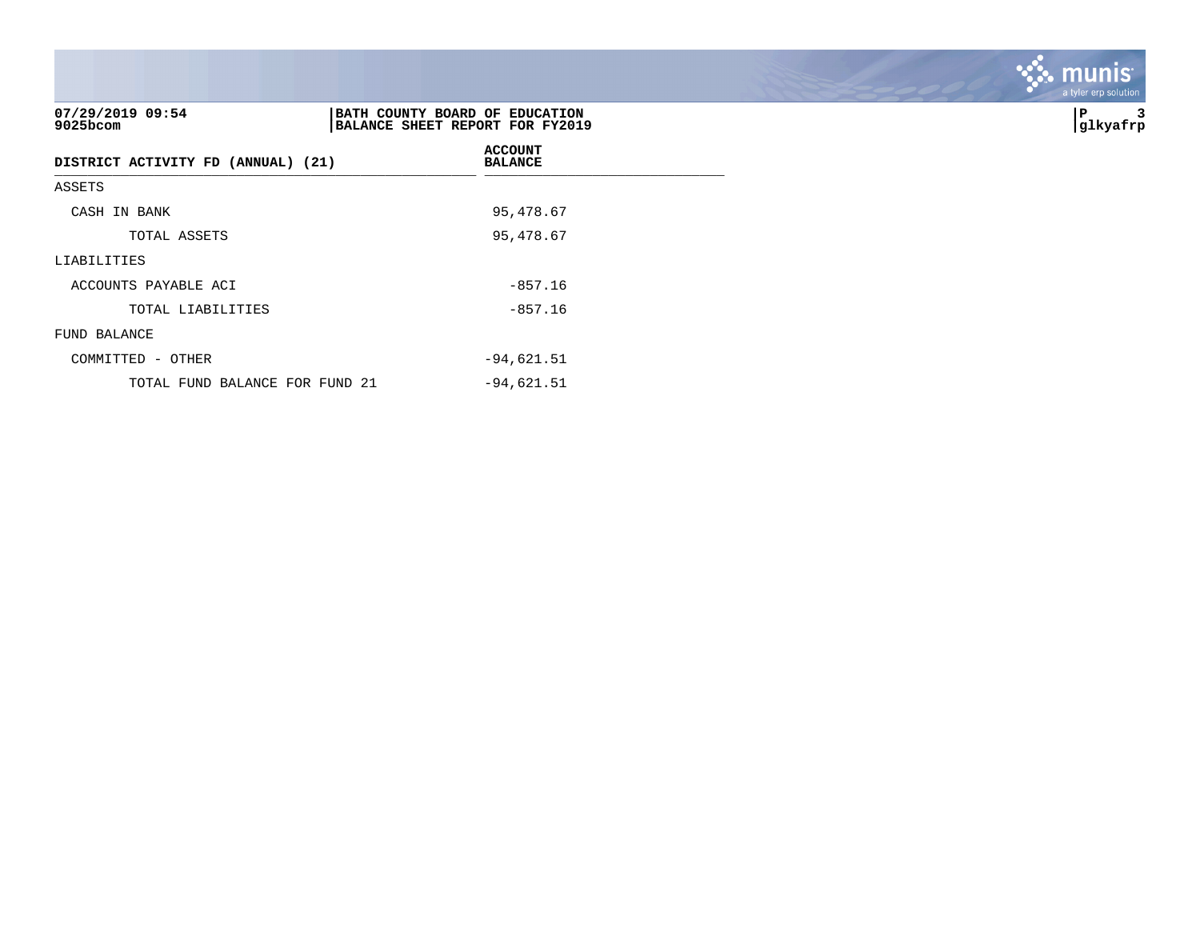| 07/29/2019 09:54<br>$9025$ bcom    | BATH COUNTY BOARD OF EDUCATION<br>BALANCE SHEET REPORT FOR FY2019 | 3<br>∣P<br> glkyafrp |
|------------------------------------|-------------------------------------------------------------------|----------------------|
| DISTRICT ACTIVITY FD (ANNUAL) (21) | <b>ACCOUNT</b><br><b>BALANCE</b>                                  |                      |
| ASSETS                             |                                                                   |                      |
| CASH IN BANK                       | 95,478.67                                                         |                      |
| TOTAL ASSETS                       | 95,478.67                                                         |                      |
| LIABILITIES                        |                                                                   |                      |
| ACCOUNTS PAYABLE ACI               | $-857.16$                                                         |                      |
| TOTAL LIABILITIES                  | $-857.16$                                                         |                      |
| FUND BALANCE                       |                                                                   |                      |
| COMMITTED - OTHER                  | $-94,621.51$                                                      |                      |
| TOTAL FUND BALANCE FOR FUND 21     | $-94,621.51$                                                      |                      |

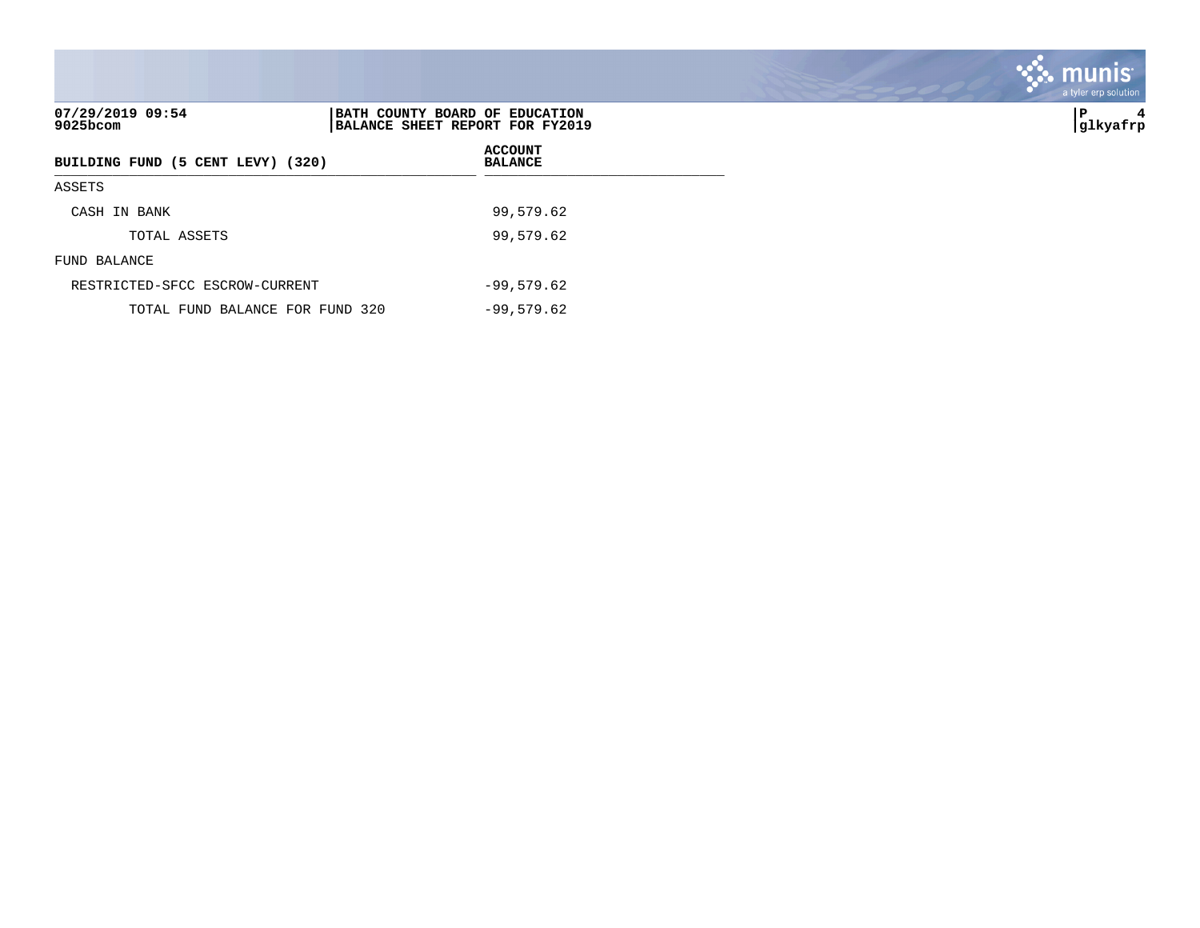| 07/29/2019 09:54<br>$9025$ bcom   | BATH COUNTY BOARD OF EDUCATION<br>BALANCE SHEET REPORT FOR FY2019 | lΡ<br>4<br> glkyafrp |
|-----------------------------------|-------------------------------------------------------------------|----------------------|
| BUILDING FUND (5 CENT LEVY) (320) | <b>ACCOUNT</b><br><b>BALANCE</b>                                  |                      |
| ASSETS                            |                                                                   |                      |
| CASH IN BANK                      | 99,579.62                                                         |                      |
| TOTAL ASSETS                      | 99,579.62                                                         |                      |
| FUND BALANCE                      |                                                                   |                      |
| RESTRICTED-SFCC ESCROW-CURRENT    | $-99,579.62$                                                      |                      |
| TOTAL FUND BALANCE FOR FUND 320   | $-99,579.62$                                                      |                      |

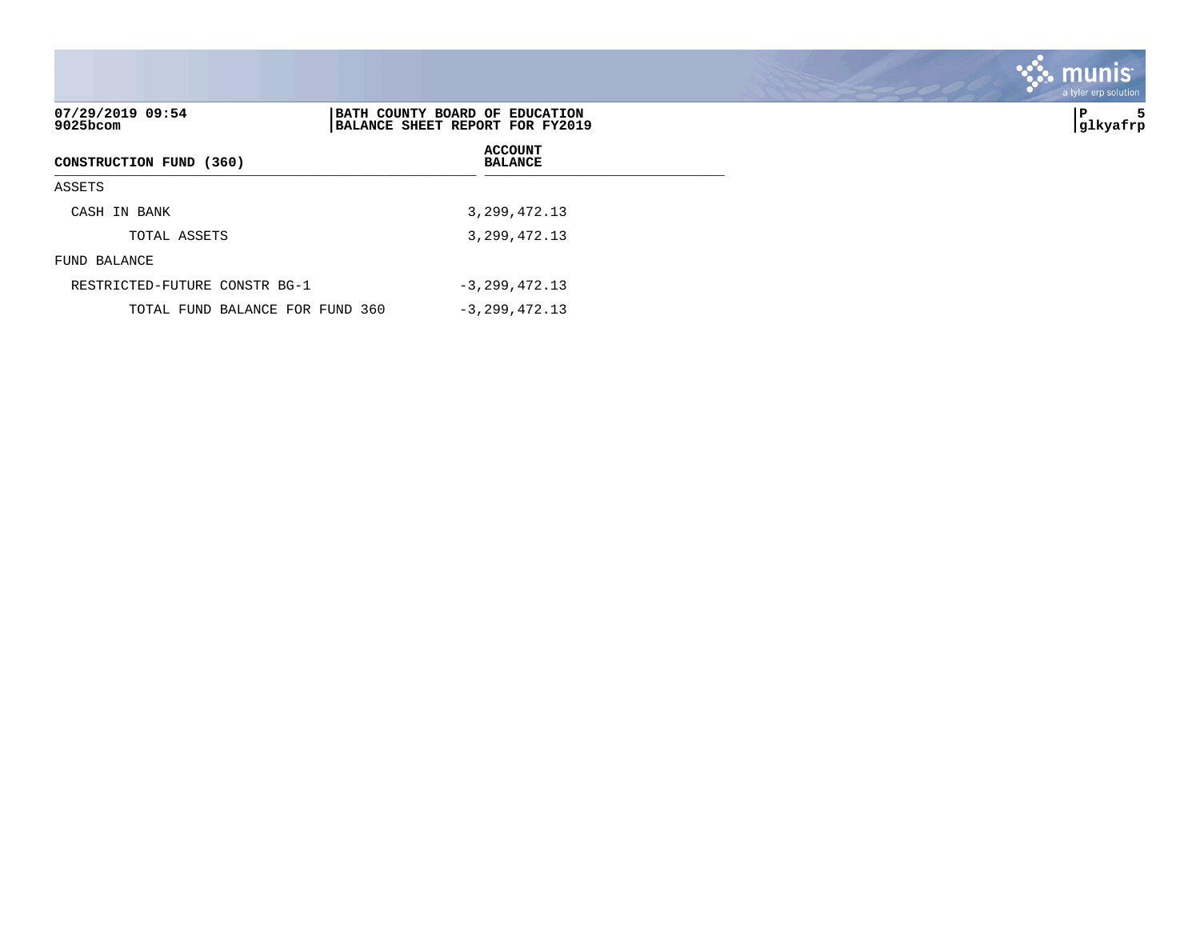|                               |                                                                   | . munis <sup>.</sup><br>a tyler erp solution |
|-------------------------------|-------------------------------------------------------------------|----------------------------------------------|
| 07/29/2019 09:54<br>9025bcom  | BATH COUNTY BOARD OF EDUCATION<br>BALANCE SHEET REPORT FOR FY2019 | P<br>5<br> glkyafrp                          |
| CONSTRUCTION FUND (360)       | <b>ACCOUNT</b><br><b>BALANCE</b>                                  |                                              |
| ASSETS                        |                                                                   |                                              |
| CASH IN BANK                  | 3, 299, 472. 13                                                   |                                              |
| TOTAL ASSETS                  | 3, 299, 472. 13                                                   |                                              |
| FUND BALANCE                  |                                                                   |                                              |
| RESTRICTED-FUTURE CONSTR BG-1 | $-3, 299, 472.13$                                                 |                                              |

 $\mathcal{L}$ 

TOTAL FUND BALANCE FOR FUND 360 -3,299,472.13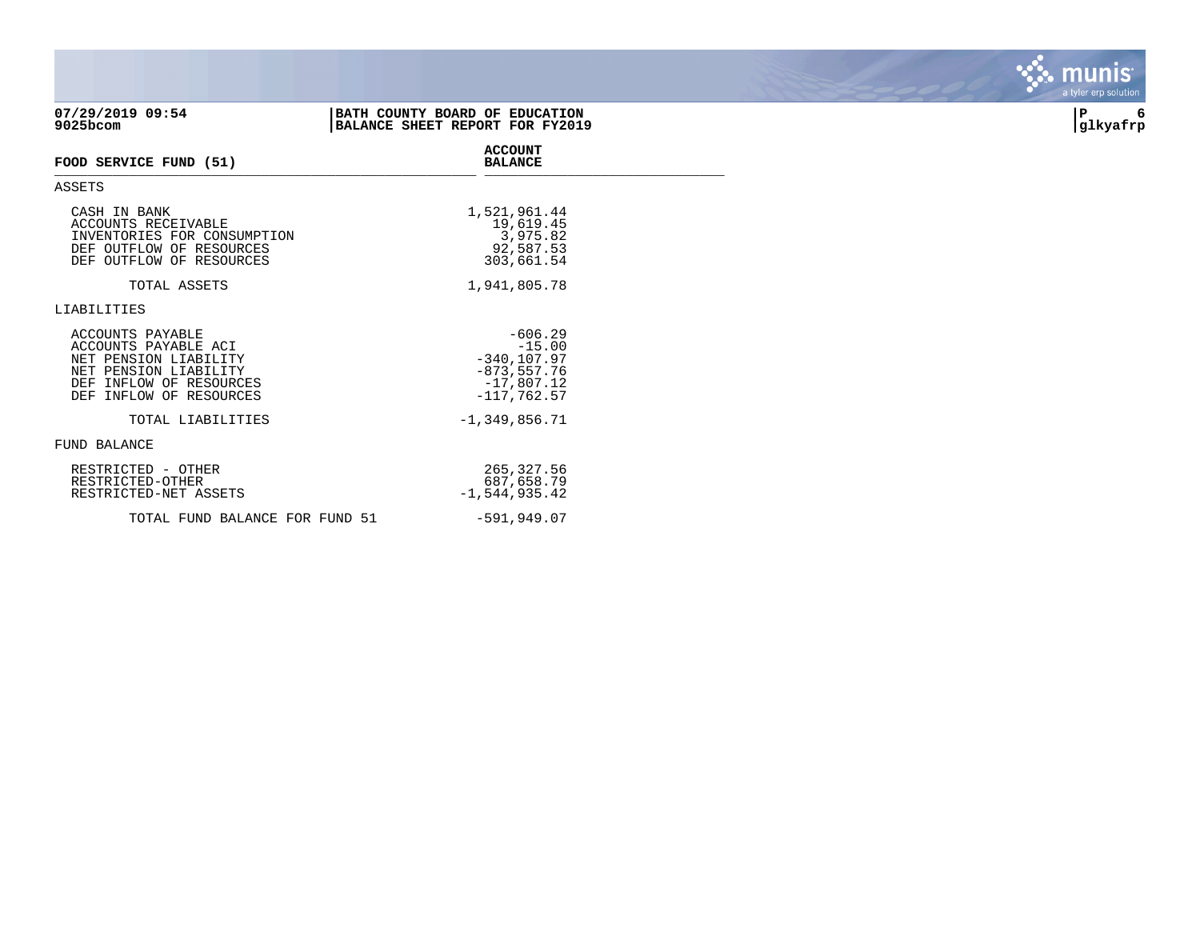| 07/29/2019 09:54<br>9025bcom                                                                                                                        | BATH COUNTY BOARD OF EDUCATION<br>BALANCE SHEET REPORT FOR FY2019                          | 6<br>P<br> glkyafrp |
|-----------------------------------------------------------------------------------------------------------------------------------------------------|--------------------------------------------------------------------------------------------|---------------------|
| FOOD SERVICE FUND (51)                                                                                                                              | <b>ACCOUNT</b><br><b>BALANCE</b>                                                           |                     |
| ASSETS                                                                                                                                              |                                                                                            |                     |
| CASH IN BANK<br>ACCOUNTS RECEIVABLE<br>INVENTORIES FOR CONSUMPTION<br>DEF OUTFLOW OF RESOURCES<br>DEF OUTFLOW OF RESOURCES                          | 1,521,961.44<br>19,619.45<br>3,975.82<br>92,587.53<br>303,661.54                           |                     |
| TOTAL ASSETS                                                                                                                                        | 1,941,805.78                                                                               |                     |
| LIABILITIES                                                                                                                                         |                                                                                            |                     |
| ACCOUNTS PAYABLE<br>ACCOUNTS PAYABLE ACI<br>NET PENSION LIABILITY<br>NET PENSION LIABILITY<br>DEF INFLOW OF RESOURCES<br>INFLOW OF RESOURCES<br>DEF | $-606.29$<br>$-15.00$<br>$-340, 107.97$<br>$-873, 557.76$<br>$-17,807.12$<br>$-117,762.57$ |                     |
| TOTAL LIABILITIES                                                                                                                                   | $-1, 349, 856.71$                                                                          |                     |
| FUND BALANCE                                                                                                                                        |                                                                                            |                     |
| RESTRICTED - OTHER<br>RESTRICTED-OTHER<br>RESTRICTED-NET ASSETS                                                                                     | 265,327.56<br>687,658.79<br>$-1,544,935.42$                                                |                     |
| TOTAL FUND BALANCE FOR FUND 51                                                                                                                      | $-591,949.07$                                                                              |                     |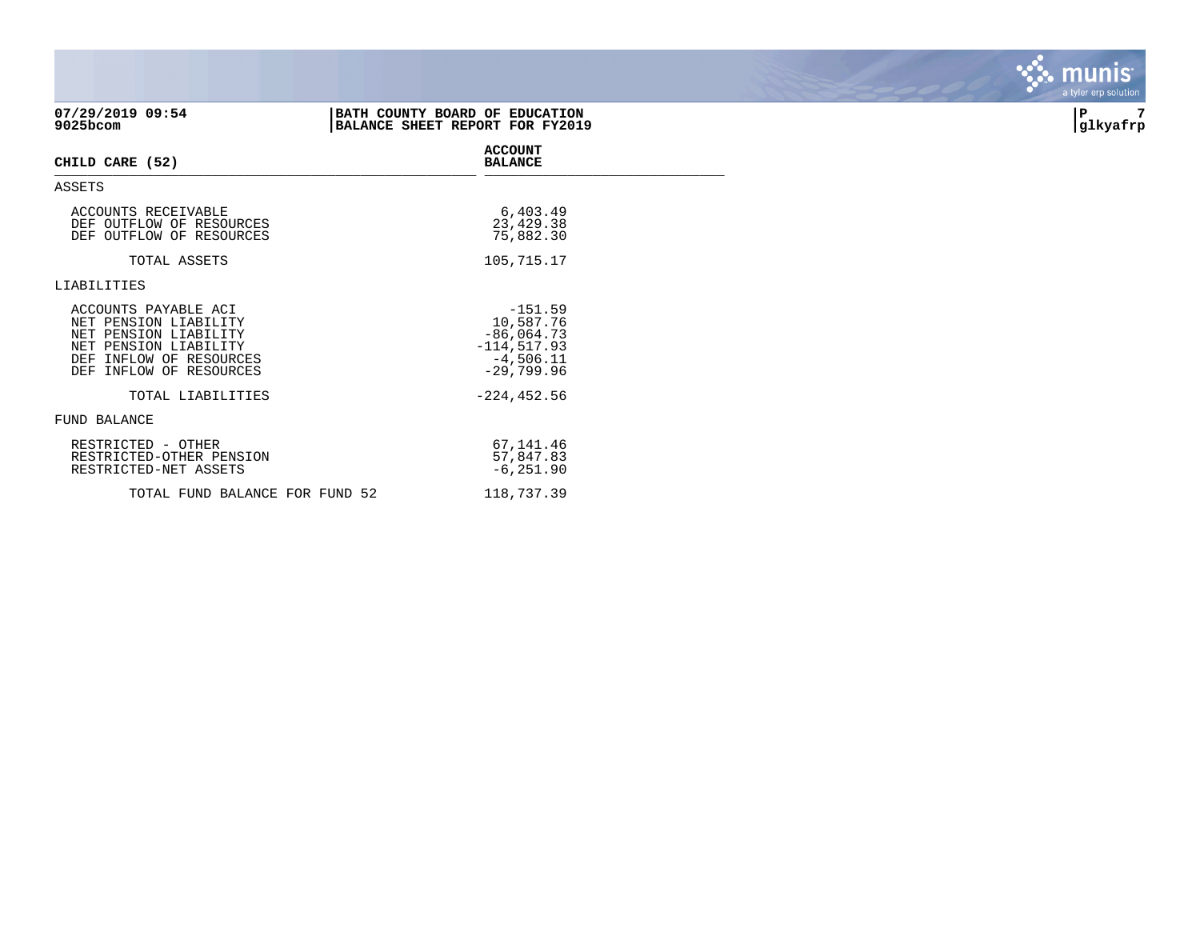| 07/29/2019 09:54<br>9025bcom                                                                                                                             | BATH COUNTY BOARD OF EDUCATION<br>BALANCE SHEET REPORT FOR FY2019                       | 7<br>P<br> glkyafrp |
|----------------------------------------------------------------------------------------------------------------------------------------------------------|-----------------------------------------------------------------------------------------|---------------------|
| CHILD CARE (52)                                                                                                                                          | <b>ACCOUNT</b><br><b>BALANCE</b>                                                        |                     |
| ASSETS                                                                                                                                                   |                                                                                         |                     |
| ACCOUNTS RECEIVABLE<br>DEF OUTFLOW OF RESOURCES<br>DEF OUTFLOW OF RESOURCES                                                                              | 6,403.49<br>23,429.38<br>75,882.30                                                      |                     |
| TOTAL ASSETS                                                                                                                                             | 105,715.17                                                                              |                     |
| LIABILITIES                                                                                                                                              |                                                                                         |                     |
| ACCOUNTS PAYABLE ACI<br>NET PENSION LIABILITY<br>NET PENSION LIABILITY<br>NET PENSION LIABILITY<br>INFLOW OF RESOURCES<br>DEF<br>DEF INFLOW OF RESOURCES | $-151.59$<br>10,587.76<br>$-86,064.73$<br>$-114, 517.93$<br>$-4,506.11$<br>$-29,799.96$ |                     |
| TOTAL LIABILITIES                                                                                                                                        | $-224, 452.56$                                                                          |                     |
| <b>FUND BALANCE</b>                                                                                                                                      |                                                                                         |                     |
| RESTRICTED - OTHER<br>RESTRICTED-OTHER PENSION<br>RESTRICTED-NET ASSETS                                                                                  | 67,141.46<br>57,847.83<br>$-6, 251.90$                                                  |                     |
| TOTAL FUND BALANCE FOR FUND 52                                                                                                                           | 118,737.39                                                                              |                     |

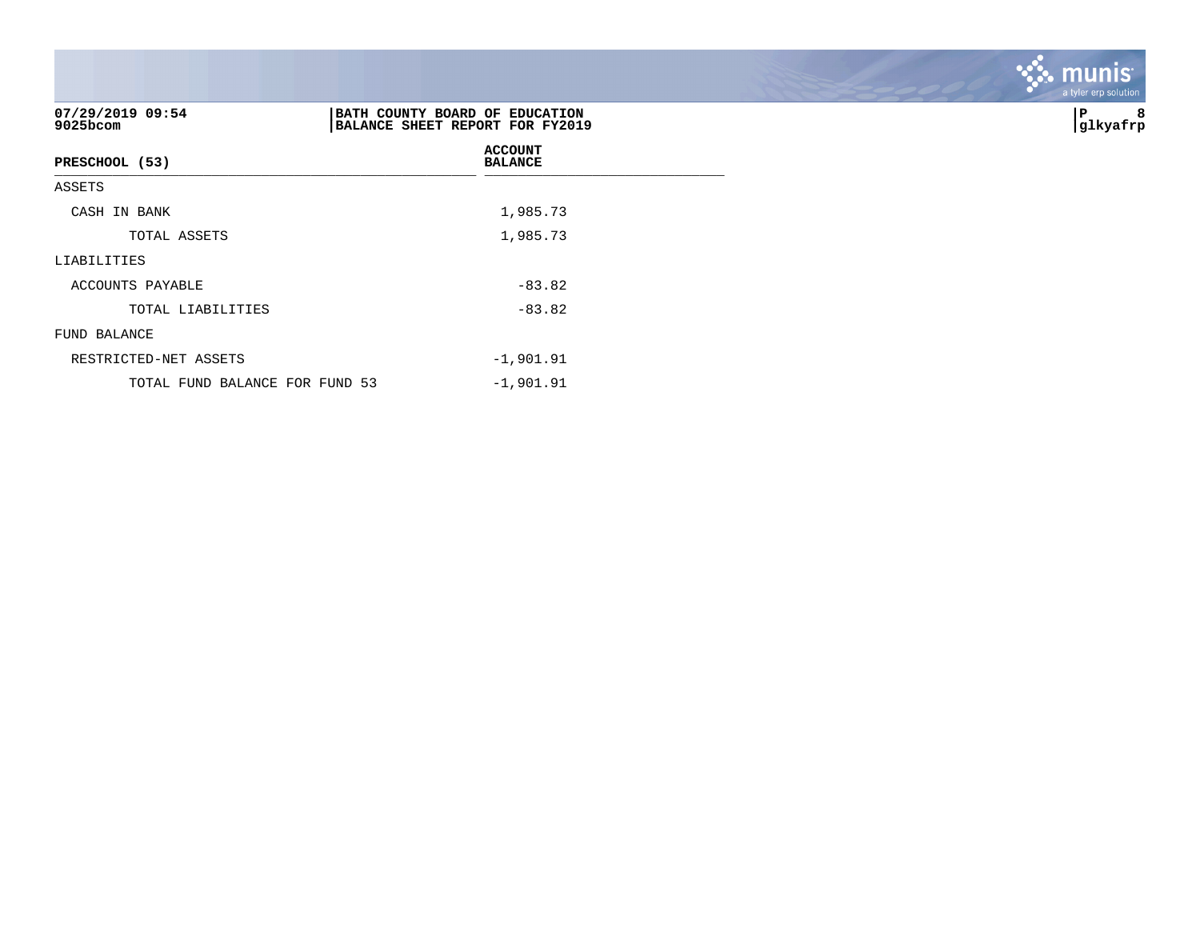| 07/29/2019 09:54<br>9025bcom   | BATH COUNTY BOARD OF EDUCATION<br>BALANCE SHEET REPORT FOR FY2019 | 8<br>P<br> glkyafrp |
|--------------------------------|-------------------------------------------------------------------|---------------------|
| PRESCHOOL (53)                 | <b>ACCOUNT</b><br><b>BALANCE</b>                                  |                     |
| ASSETS                         |                                                                   |                     |
| CASH IN BANK                   | 1,985.73                                                          |                     |
| TOTAL ASSETS                   | 1,985.73                                                          |                     |
| LIABILITIES                    |                                                                   |                     |
| ACCOUNTS PAYABLE               | $-83.82$                                                          |                     |
| TOTAL LIABILITIES              | $-83.82$                                                          |                     |
| FUND BALANCE                   |                                                                   |                     |
| RESTRICTED-NET ASSETS          | $-1,901.91$                                                       |                     |
| TOTAL FUND BALANCE FOR FUND 53 | $-1,901.91$                                                       |                     |

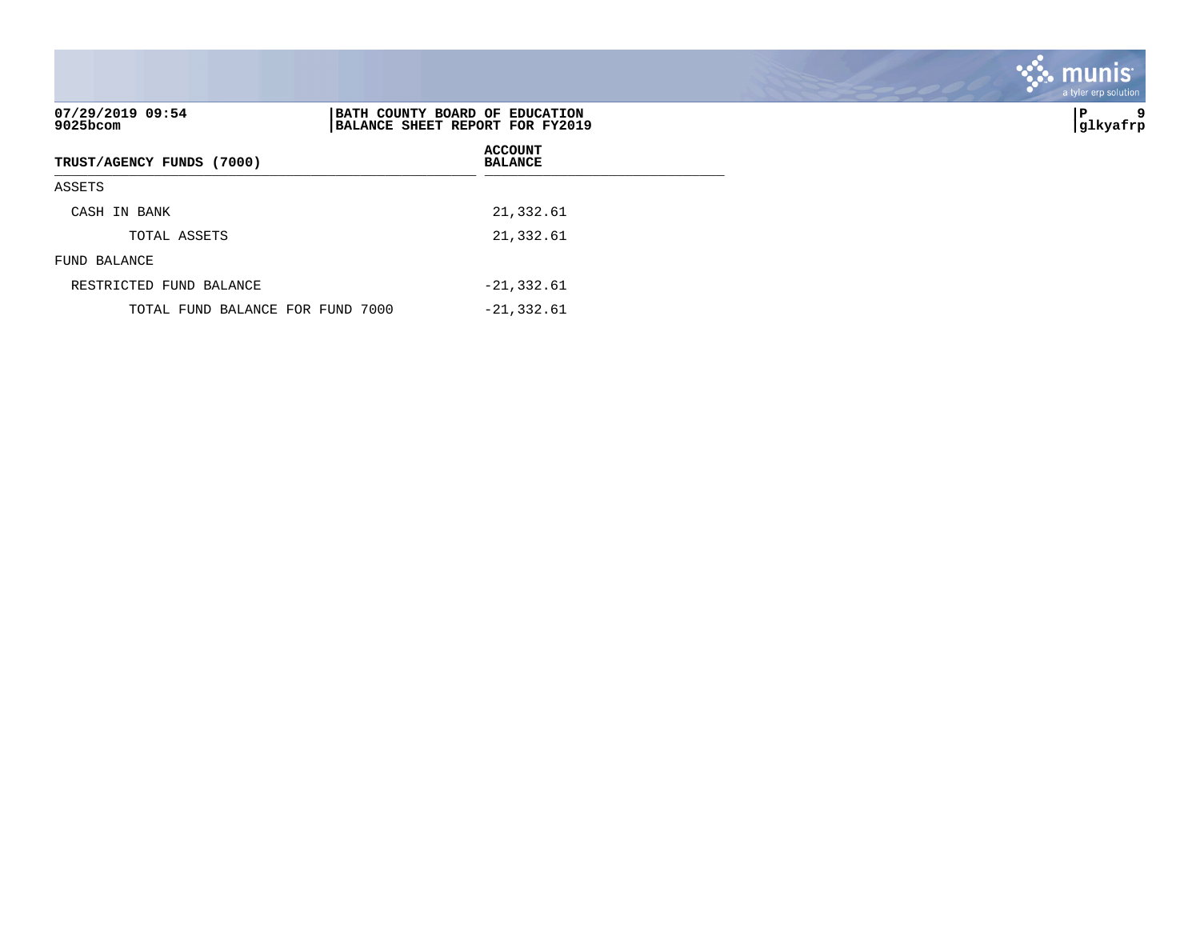| 07/29/2019 09:54<br>$9025$ bcom  | BATH COUNTY BOARD OF EDUCATION<br>BALANCE SHEET REPORT FOR FY2019 | 9<br>  P<br> glkyafrp |
|----------------------------------|-------------------------------------------------------------------|-----------------------|
| TRUST/AGENCY FUNDS (7000)        | <b>ACCOUNT</b><br><b>BALANCE</b>                                  |                       |
| ASSETS                           |                                                                   |                       |
| CASH IN BANK                     | 21,332.61                                                         |                       |
| TOTAL ASSETS                     | 21,332.61                                                         |                       |
| FUND BALANCE                     |                                                                   |                       |
| RESTRICTED FUND BALANCE          | $-21, 332.61$                                                     |                       |
| TOTAL FUND BALANCE FOR FUND 7000 | $-21, 332.61$                                                     |                       |

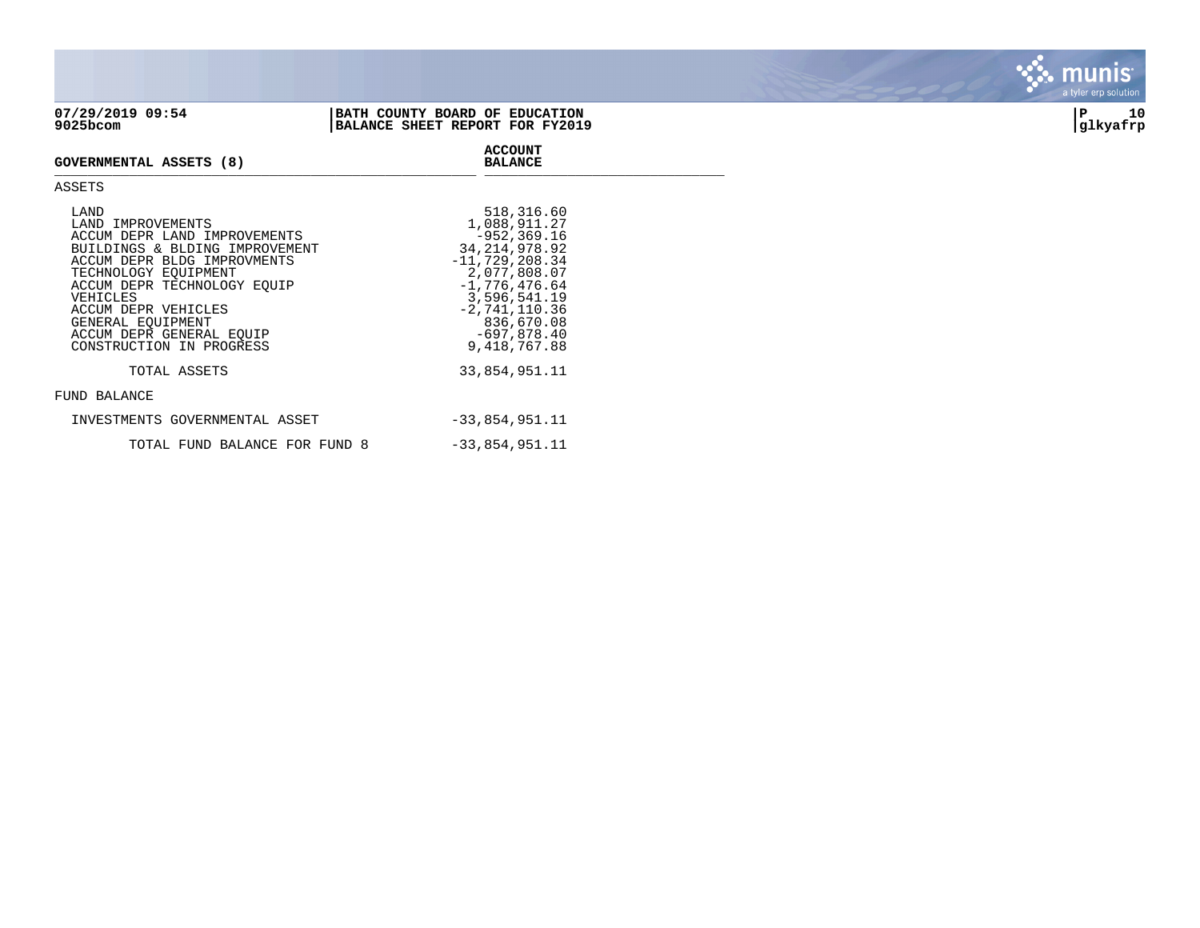| 07/29/2019 09:54<br>9025bcom                              | BATH COUNTY BOARD OF EDUCATION<br>BALANCE SHEET REPORT FOR FY2019 | 10<br>∣P<br> glkyafrp |
|-----------------------------------------------------------|-------------------------------------------------------------------|-----------------------|
| GOVERNMENTAL ASSETS (8)                                   | <b>ACCOUNT</b><br><b>BALANCE</b>                                  |                       |
| ASSETS                                                    |                                                                   |                       |
| LAND<br>LAND IMPROVEMENTS<br>ACCUM DEPR LAND IMPROVEMENTS | 518,316.60<br>1,088,911.27<br>$-952, 369.16$                      |                       |

| BUILDINGS & BLDING IMPROVEMENT | 34, 214, 978, 92 |
|--------------------------------|------------------|
| ACCUM DEPR BLDG IMPROVMENTS    | $-11,729,208.34$ |
| TECHNOLOGY EOUIPMENT           | 2,077,808.07     |
| ACCUM DEPR TECHNOLOGY EOUIP    | $-1.776.476.64$  |
| VEHICLES                       | 3,596,541.19     |
| ACCUM DEPR VEHICLES            | $-2,741,110.36$  |
| GENERAL EOUIPMENT              | 836,670.08       |
| ACCUM DEPR GENERAL EOUIP       | $-697,878.40$    |
| CONSTRUCTION IN PROGRESS       | 9, 418, 767.88   |
| TOTAL ASSETS                   | 33,854,951.11    |
| FUND BALANCE                   |                  |
| INVESTMENTS GOVERNMENTAL ASSET | $-33,854,951.11$ |
| TOTAL FUND BALANCE FOR FUND 8  | $-33,854,951.11$ |

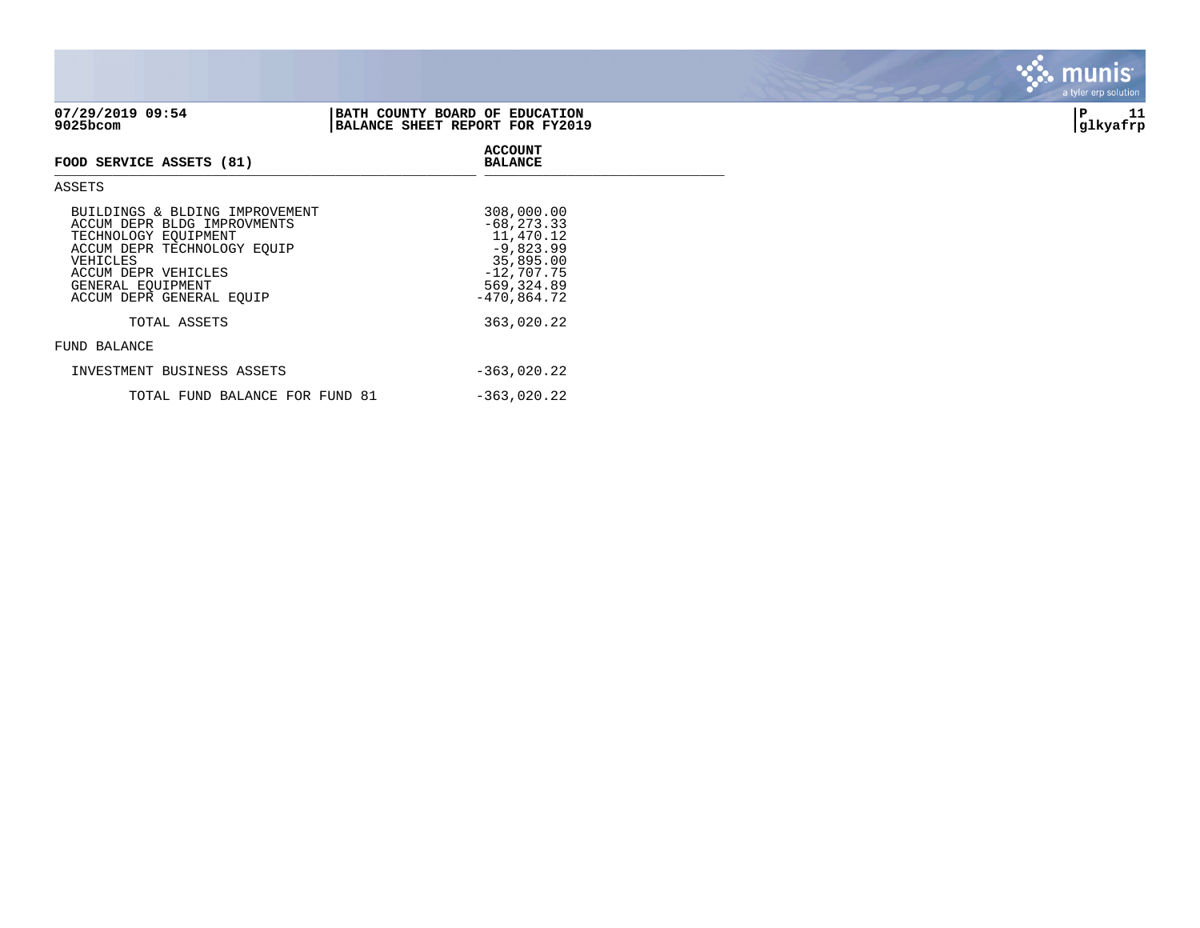| 07/29/2019 09:54<br>9025bcom   | BATH COUNTY BOARD OF EDUCATION<br>BALANCE SHEET REPORT FOR FY2019 | 11<br>P<br> glkyafrp |
|--------------------------------|-------------------------------------------------------------------|----------------------|
| FOOD SERVICE ASSETS (81)       | <b>ACCOUNT</b><br><b>BALANCE</b>                                  |                      |
| ASSETS                         |                                                                   |                      |
| BUILDINGS & BLDING IMPROVEMENT | 308,000.00                                                        |                      |

## a tyler erp solution

mu

**inis** 

| ACCUM DEPR BLDG IMPROVMENTS<br>TECHNOLOGY EOUIPMENT | $-68, 273.33$<br>11,470.12   |
|-----------------------------------------------------|------------------------------|
| ACCUM DEPR TECHNOLOGY EOUIP                         | $-9,823.99$                  |
| VEHICLES<br>ACCUM DEPR VEHICLES                     | 35,895.00<br>$-12,707.75$    |
| GENERAL EOUIPMENT<br>ACCUM DEPR GENERAL EOUIP       | 569, 324.89<br>$-470,864.72$ |
| TOTAL ASSETS                                        | 363,020.22                   |
| FUND BALANCE                                        |                              |
| INVESTMENT BUSINESS ASSETS                          | $-363,020.22$                |

TOTAL FUND BALANCE FOR FUND 81 -363,020.22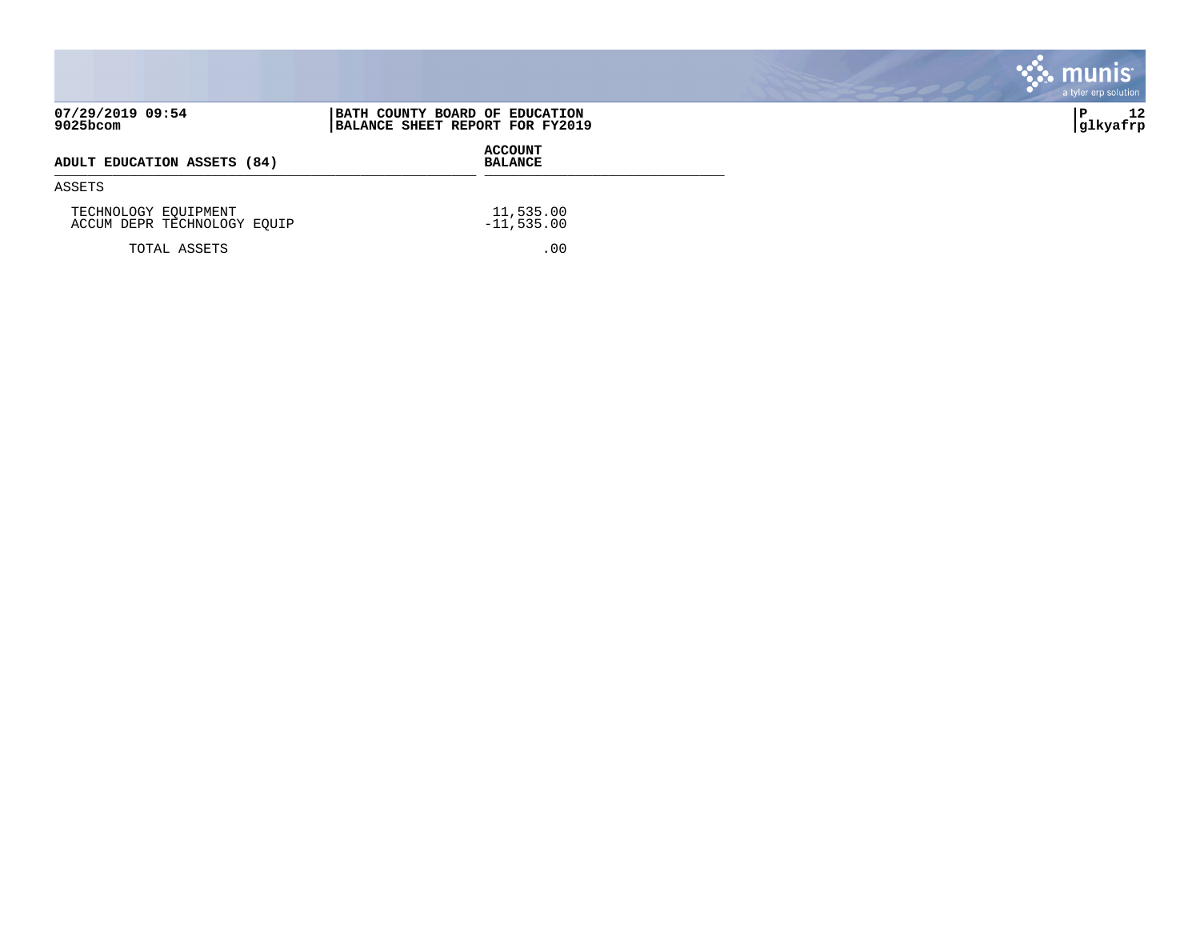|                                                     |                                                                   | <b>munis</b><br>a tyler erp solution |
|-----------------------------------------------------|-------------------------------------------------------------------|--------------------------------------|
| 07/29/2019 09:54<br>9025bcom                        | BATH COUNTY BOARD OF EDUCATION<br>BALANCE SHEET REPORT FOR FY2019 | 12<br>∣P<br> glkyafrp                |
| ADULT EDUCATION ASSETS (84)                         | <b>ACCOUNT</b><br><b>BALANCE</b>                                  |                                      |
| ASSETS                                              |                                                                   |                                      |
| TECHNOLOGY EQUIPMENT<br>ACCUM DEPR TECHNOLOGY EQUIP | 11,535.00<br>$-11,535.00$                                         |                                      |
| TOTAL ASSETS                                        | .00                                                               |                                      |